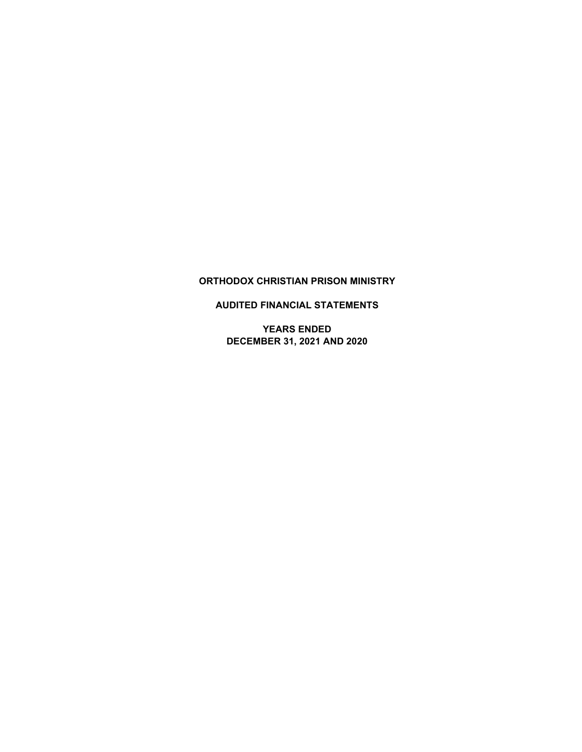**AUDITED FINANCIAL STATEMENTS**

**YEARS ENDED DECEMBER 31, 2021 AND 2020**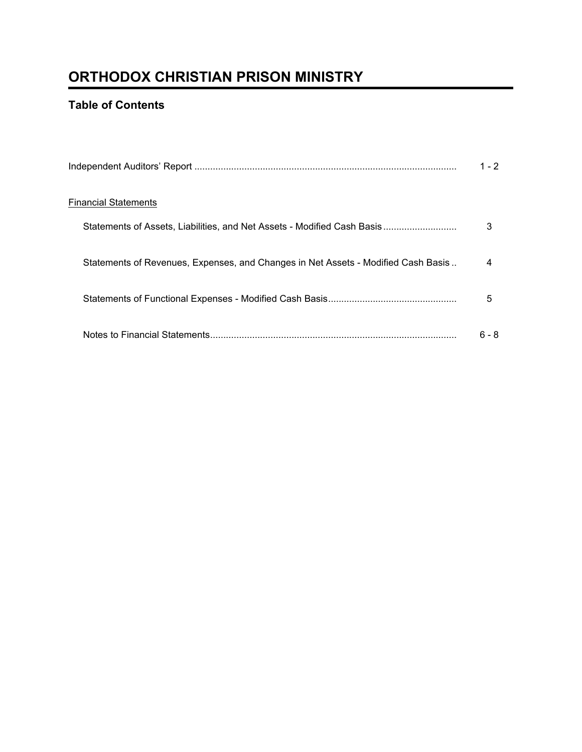## **Table of Contents**

|                                                                                   | $1 - 2$ |
|-----------------------------------------------------------------------------------|---------|
| <b>Financial Statements</b>                                                       |         |
| Statements of Assets, Liabilities, and Net Assets - Modified Cash Basis           | 3       |
| Statements of Revenues, Expenses, and Changes in Net Assets - Modified Cash Basis | 4       |
|                                                                                   | 5       |
|                                                                                   | 6 - 8   |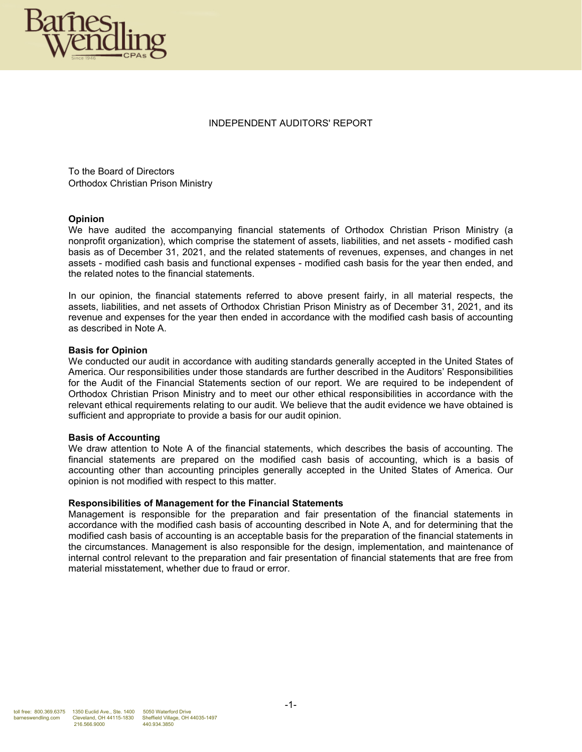

#### INDEPENDENT AUDITORS' REPORT

To the Board of Directors Orthodox Christian Prison Ministry

#### **Opinion**

We have audited the accompanying financial statements of Orthodox Christian Prison Ministry (a nonprofit organization), which comprise the statement of assets, liabilities, and net assets - modified cash basis as of December 31, 2021, and the related statements of revenues, expenses, and changes in net assets - modified cash basis and functional expenses - modified cash basis for the year then ended, and the related notes to the financial statements.

In our opinion, the financial statements referred to above present fairly, in all material respects, the assets, liabilities, and net assets of Orthodox Christian Prison Ministry as of December 31, 2021, and its revenue and expenses for the year then ended in accordance with the modified cash basis of accounting as described in Note A.

#### **Basis for Opinion**

We conducted our audit in accordance with auditing standards generally accepted in the United States of America. Our responsibilities under those standards are further described in the Auditors' Responsibilities for the Audit of the Financial Statements section of our report. We are required to be independent of Orthodox Christian Prison Ministry and to meet our other ethical responsibilities in accordance with the relevant ethical requirements relating to our audit. We believe that the audit evidence we have obtained is sufficient and appropriate to provide a basis for our audit opinion.

#### **Basis of Accounting**

We draw attention to Note A of the financial statements, which describes the basis of accounting. The financial statements are prepared on the modified cash basis of accounting, which is a basis of accounting other than accounting principles generally accepted in the United States of America. Our opinion is not modified with respect to this matter.

#### **Responsibilities of Management for the Financial Statements**

Management is responsible for the preparation and fair presentation of the financial statements in accordance with the modified cash basis of accounting described in Note A, and for determining that the modified cash basis of accounting is an acceptable basis for the preparation of the financial statements in the circumstances. Management is also responsible for the design, implementation, and maintenance of internal control relevant to the preparation and fair presentation of financial statements that are free from material misstatement, whether due to fraud or error.

 $216.566.9000$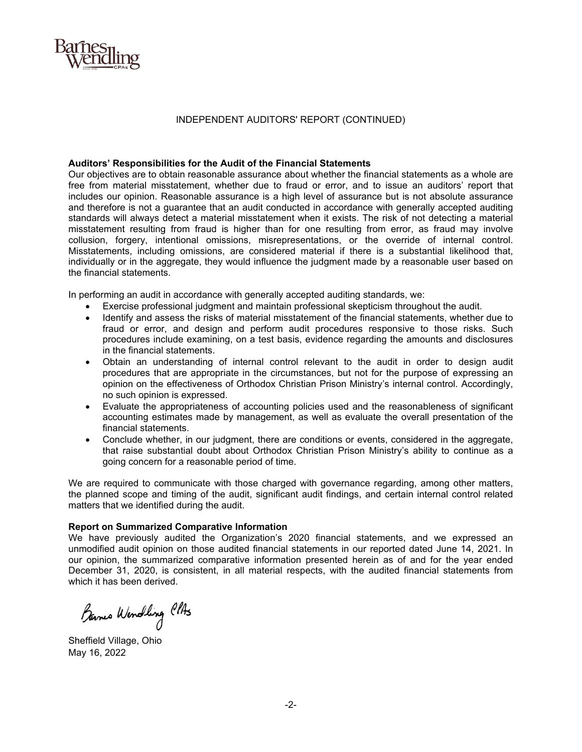

#### INDEPENDENT AUDITORS' REPORT (CONTINUED)

#### **Auditors' Responsibilities for the Audit of the Financial Statements**

Our objectives are to obtain reasonable assurance about whether the financial statements as a whole are free from material misstatement, whether due to fraud or error, and to issue an auditors' report that includes our opinion. Reasonable assurance is a high level of assurance but is not absolute assurance and therefore is not a guarantee that an audit conducted in accordance with generally accepted auditing standards will always detect a material misstatement when it exists. The risk of not detecting a material misstatement resulting from fraud is higher than for one resulting from error, as fraud may involve collusion, forgery, intentional omissions, misrepresentations, or the override of internal control. Misstatements, including omissions, are considered material if there is a substantial likelihood that, individually or in the aggregate, they would influence the judgment made by a reasonable user based on the financial statements.

In performing an audit in accordance with generally accepted auditing standards, we:

- Exercise professional judgment and maintain professional skepticism throughout the audit.
- Identify and assess the risks of material misstatement of the financial statements, whether due to fraud or error, and design and perform audit procedures responsive to those risks. Such procedures include examining, on a test basis, evidence regarding the amounts and disclosures in the financial statements.
- Obtain an understanding of internal control relevant to the audit in order to design audit procedures that are appropriate in the circumstances, but not for the purpose of expressing an opinion on the effectiveness of Orthodox Christian Prison Ministry's internal control. Accordingly, no such opinion is expressed.
- Evaluate the appropriateness of accounting policies used and the reasonableness of significant accounting estimates made by management, as well as evaluate the overall presentation of the financial statements.
- Conclude whether, in our judgment, there are conditions or events, considered in the aggregate, that raise substantial doubt about Orthodox Christian Prison Ministry's ability to continue as a going concern for a reasonable period of time.

We are required to communicate with those charged with governance regarding, among other matters, the planned scope and timing of the audit, significant audit findings, and certain internal control related matters that we identified during the audit.

#### **Report on Summarized Comparative Information**

We have previously audited the Organization's 2020 financial statements, and we expressed an unmodified audit opinion on those audited financial statements in our reported dated June 14, 2021. In our opinion, the summarized comparative information presented herein as of and for the year ended December 31, 2020, is consistent, in all material respects, with the audited financial statements from which it has been derived.

Barnes Wendling CPAs

Sheffield Village, Ohio May 16, 2022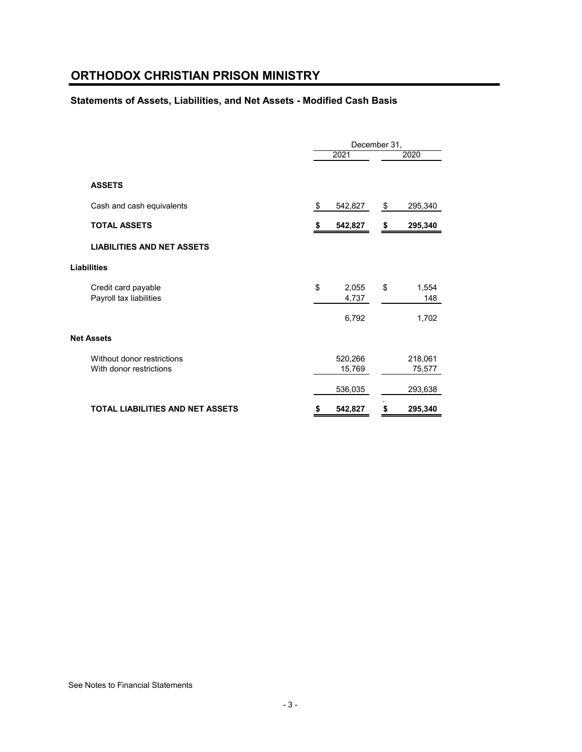### **Statements of Assets, Liabilities, and Net Assets - Modified Cash Basis**

|                                                       | December 31, |                   |    |                   |  |  |  |
|-------------------------------------------------------|--------------|-------------------|----|-------------------|--|--|--|
|                                                       |              | 2021              |    | 2020              |  |  |  |
| <b>ASSETS</b>                                         |              |                   |    |                   |  |  |  |
| Cash and cash equivalents                             | \$           | 542,827           | \$ | 295,340           |  |  |  |
| <b>TOTAL ASSETS</b>                                   |              | 542,827           | \$ | 295,340           |  |  |  |
| <b>LIABILITIES AND NET ASSETS</b>                     |              |                   |    |                   |  |  |  |
| <b>Liabilities</b>                                    |              |                   |    |                   |  |  |  |
| Credit card payable<br>Payroll tax liabilities        | \$           | 2,055<br>4,737    | \$ | 1,554<br>148      |  |  |  |
|                                                       |              | 6,792             |    | 1,702             |  |  |  |
| <b>Net Assets</b>                                     |              |                   |    |                   |  |  |  |
| Without donor restrictions<br>With donor restrictions |              | 520,266<br>15,769 |    | 218,061<br>75,577 |  |  |  |
|                                                       |              | 536,035           |    | 293,638           |  |  |  |
| <b>TOTAL LIABILITIES AND NET ASSETS</b>               | \$           | 542,827           | \$ | 295,340           |  |  |  |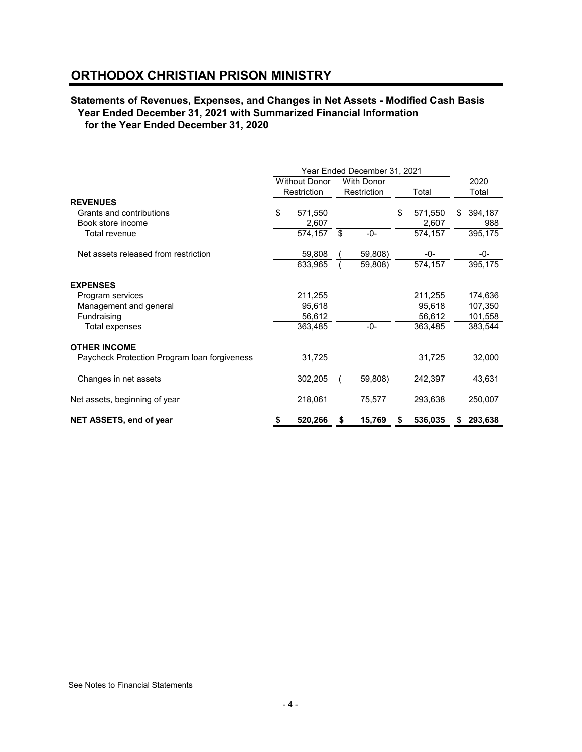#### **Statements of Revenues, Expenses, and Changes in Net Assets - Modified Cash Basis Year Ended December 31, 2021 with Summarized Financial Information for the Year Ended December 31, 2020**

|                                              | Year Ended December 31, 2021 |         |    |                   |    |                       |   |         |
|----------------------------------------------|------------------------------|---------|----|-------------------|----|-----------------------|---|---------|
|                                              | <b>Without Donor</b>         |         |    | <b>With Donor</b> |    |                       |   | 2020    |
|                                              | Restriction                  |         |    | Restriction       |    | Total                 |   | Total   |
| <b>REVENUES</b>                              |                              |         |    |                   |    |                       |   |         |
| Grants and contributions                     | \$                           | 571,550 |    |                   | \$ | 571,550               | S | 394,187 |
| Book store income                            |                              | 2,607   |    |                   |    | 2,607                 |   | 988     |
| Total revenue                                |                              | 574,157 | \$ | -0-               |    | 574,157               |   | 395,175 |
| Net assets released from restriction         |                              | 59,808  |    | 59,808)           |    | -0-                   |   | -0-     |
|                                              |                              | 633,965 |    | 59,808)           |    | $\overline{574, 157}$ |   | 395,175 |
| <b>EXPENSES</b>                              |                              |         |    |                   |    |                       |   |         |
| Program services                             |                              | 211,255 |    |                   |    | 211,255               |   | 174,636 |
| Management and general                       |                              | 95,618  |    |                   |    | 95,618                |   | 107,350 |
| Fundraising                                  |                              | 56,612  |    |                   |    | 56,612                |   | 101,558 |
| Total expenses                               |                              | 363,485 |    | -0-               |    | 363,485               |   | 383,544 |
| <b>OTHER INCOME</b>                          |                              |         |    |                   |    |                       |   |         |
| Paycheck Protection Program loan forgiveness |                              | 31,725  |    |                   |    | 31,725                |   | 32,000  |
| Changes in net assets                        |                              | 302,205 |    | 59,808)           |    | 242,397               |   | 43,631  |
| Net assets, beginning of year                |                              | 218,061 |    | 75,577            |    | 293,638               |   | 250,007 |
| NET ASSETS, end of year                      | \$                           | 520,266 | S  | 15,769            |    | 536,035               |   | 293,638 |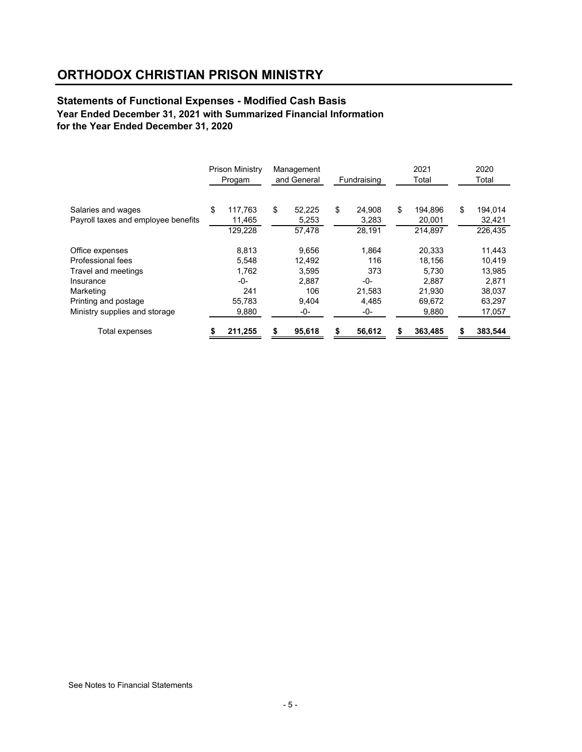## **Statements of Functional Expenses - Modified Cash Basis Year Ended December 31, 2021 with Summarized Financial Information**

**for the Year Ended December 31, 2020**

|                                                           |    | <b>Prison Ministry</b><br>Progam | Management<br>and General |                           |    |                           | Fundraising |                              | 2021<br>Total |                              |  |  | 2020<br>Total |  |
|-----------------------------------------------------------|----|----------------------------------|---------------------------|---------------------------|----|---------------------------|-------------|------------------------------|---------------|------------------------------|--|--|---------------|--|
| Salaries and wages<br>Payroll taxes and employee benefits | \$ | 117.763<br>11,465<br>129,228     | \$                        | 52,225<br>5,253<br>57,478 | \$ | 24.908<br>3,283<br>28,191 | \$          | 194,896<br>20.001<br>214,897 | \$            | 194,014<br>32,421<br>226,435 |  |  |               |  |
| Office expenses                                           |    | 8,813                            |                           | 9.656                     |    | 1.864                     |             | 20.333                       |               | 11,443                       |  |  |               |  |
| Professional fees                                         |    | 5,548                            |                           | 12,492                    |    | 116                       |             | 18,156                       |               | 10,419                       |  |  |               |  |
| Travel and meetings                                       |    | 1.762                            |                           | 3.595                     |    | 373                       |             | 5.730                        |               | 13,985                       |  |  |               |  |
| Insurance                                                 |    | -0-                              |                           | 2,887                     |    | -0-                       |             | 2.887                        |               | 2,871                        |  |  |               |  |
| Marketing                                                 |    | 241                              |                           | 106                       |    | 21,583                    |             | 21,930                       |               | 38,037                       |  |  |               |  |
| Printing and postage                                      |    | 55,783                           |                           | 9.404                     |    | 4,485                     |             | 69,672                       |               | 63,297                       |  |  |               |  |
| Ministry supplies and storage                             |    | 9,880                            |                           | -0-                       |    | -0-                       |             | 9,880                        |               | 17,057                       |  |  |               |  |
| Total expenses                                            | 5  | 211,255                          | \$                        | 95,618                    | S  | 56,612                    | \$          | 363,485                      | \$            | 383,544                      |  |  |               |  |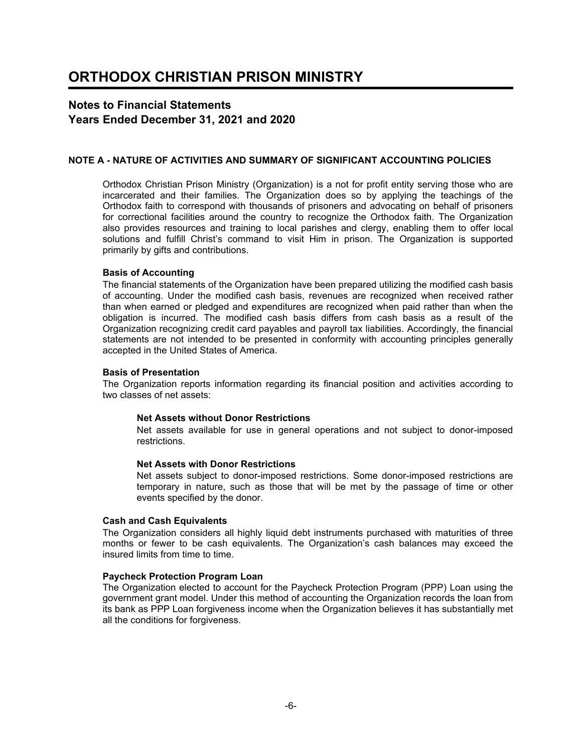### **Notes to Financial Statements Years Ended December 31, 2021 and 2020**

#### **NOTE A - NATURE OF ACTIVITIES AND SUMMARY OF SIGNIFICANT ACCOUNTING POLICIES**

Orthodox Christian Prison Ministry (Organization) is a not for profit entity serving those who are incarcerated and their families. The Organization does so by applying the teachings of the Orthodox faith to correspond with thousands of prisoners and advocating on behalf of prisoners for correctional facilities around the country to recognize the Orthodox faith. The Organization also provides resources and training to local parishes and clergy, enabling them to offer local solutions and fulfill Christ's command to visit Him in prison. The Organization is supported primarily by gifts and contributions.

#### **Basis of Accounting**

The financial statements of the Organization have been prepared utilizing the modified cash basis of accounting. Under the modified cash basis, revenues are recognized when received rather than when earned or pledged and expenditures are recognized when paid rather than when the obligation is incurred. The modified cash basis differs from cash basis as a result of the Organization recognizing credit card payables and payroll tax liabilities. Accordingly, the financial statements are not intended to be presented in conformity with accounting principles generally accepted in the United States of America.

#### **Basis of Presentation**

The Organization reports information regarding its financial position and activities according to two classes of net assets:

#### **Net Assets without Donor Restrictions**

Net assets available for use in general operations and not subject to donor-imposed restrictions.

#### **Net Assets with Donor Restrictions**

Net assets subject to donor-imposed restrictions. Some donor-imposed restrictions are temporary in nature, such as those that will be met by the passage of time or other events specified by the donor.

#### **Cash and Cash Equivalents**

The Organization considers all highly liquid debt instruments purchased with maturities of three months or fewer to be cash equivalents. The Organization's cash balances may exceed the insured limits from time to time.

#### **Paycheck Protection Program Loan**

The Organization elected to account for the Paycheck Protection Program (PPP) Loan using the government grant model. Under this method of accounting the Organization records the loan from its bank as PPP Loan forgiveness income when the Organization believes it has substantially met all the conditions for forgiveness.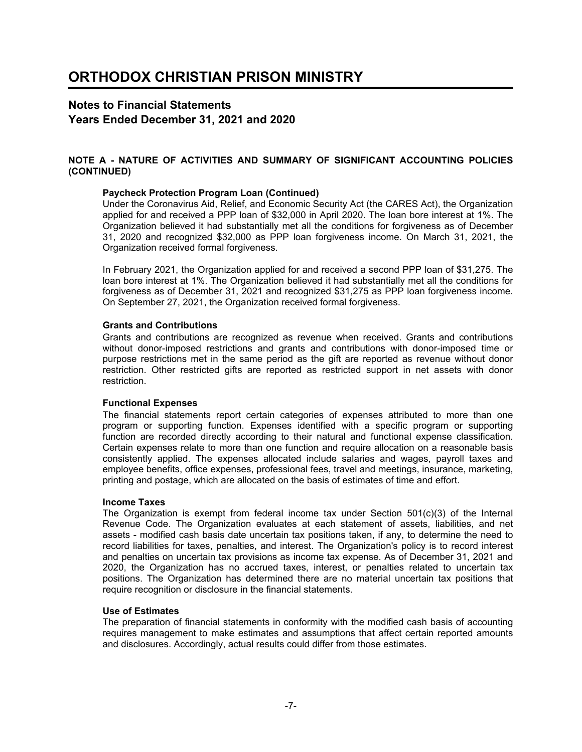### **Notes to Financial Statements Years Ended December 31, 2021 and 2020**

#### **NOTE A - NATURE OF ACTIVITIES AND SUMMARY OF SIGNIFICANT ACCOUNTING POLICIES (CONTINUED)**

#### **Paycheck Protection Program Loan (Continued)**

Under the Coronavirus Aid, Relief, and Economic Security Act (the CARES Act), the Organization applied for and received a PPP loan of \$32,000 in April 2020. The loan bore interest at 1%. The Organization believed it had substantially met all the conditions for forgiveness as of December 31, 2020 and recognized \$32,000 as PPP loan forgiveness income. On March 31, 2021, the Organization received formal forgiveness.

In February 2021, the Organization applied for and received a second PPP loan of \$31,275. The loan bore interest at 1%. The Organization believed it had substantially met all the conditions for forgiveness as of December 31, 2021 and recognized \$31,275 as PPP loan forgiveness income. On September 27, 2021, the Organization received formal forgiveness.

#### **Grants and Contributions**

Grants and contributions are recognized as revenue when received. Grants and contributions without donor-imposed restrictions and grants and contributions with donor-imposed time or purpose restrictions met in the same period as the gift are reported as revenue without donor restriction. Other restricted gifts are reported as restricted support in net assets with donor restriction.

#### **Functional Expenses**

The financial statements report certain categories of expenses attributed to more than one program or supporting function. Expenses identified with a specific program or supporting function are recorded directly according to their natural and functional expense classification. Certain expenses relate to more than one function and require allocation on a reasonable basis consistently applied. The expenses allocated include salaries and wages, payroll taxes and employee benefits, office expenses, professional fees, travel and meetings, insurance, marketing, printing and postage, which are allocated on the basis of estimates of time and effort.

#### **Income Taxes**

The Organization is exempt from federal income tax under Section  $501(c)(3)$  of the Internal Revenue Code. The Organization evaluates at each statement of assets, liabilities, and net assets - modified cash basis date uncertain tax positions taken, if any, to determine the need to record liabilities for taxes, penalties, and interest. The Organization's policy is to record interest and penalties on uncertain tax provisions as income tax expense. As of December 31, 2021 and 2020, the Organization has no accrued taxes, interest, or penalties related to uncertain tax positions. The Organization has determined there are no material uncertain tax positions that require recognition or disclosure in the financial statements.

#### **Use of Estimates**

The preparation of financial statements in conformity with the modified cash basis of accounting requires management to make estimates and assumptions that affect certain reported amounts and disclosures. Accordingly, actual results could differ from those estimates.